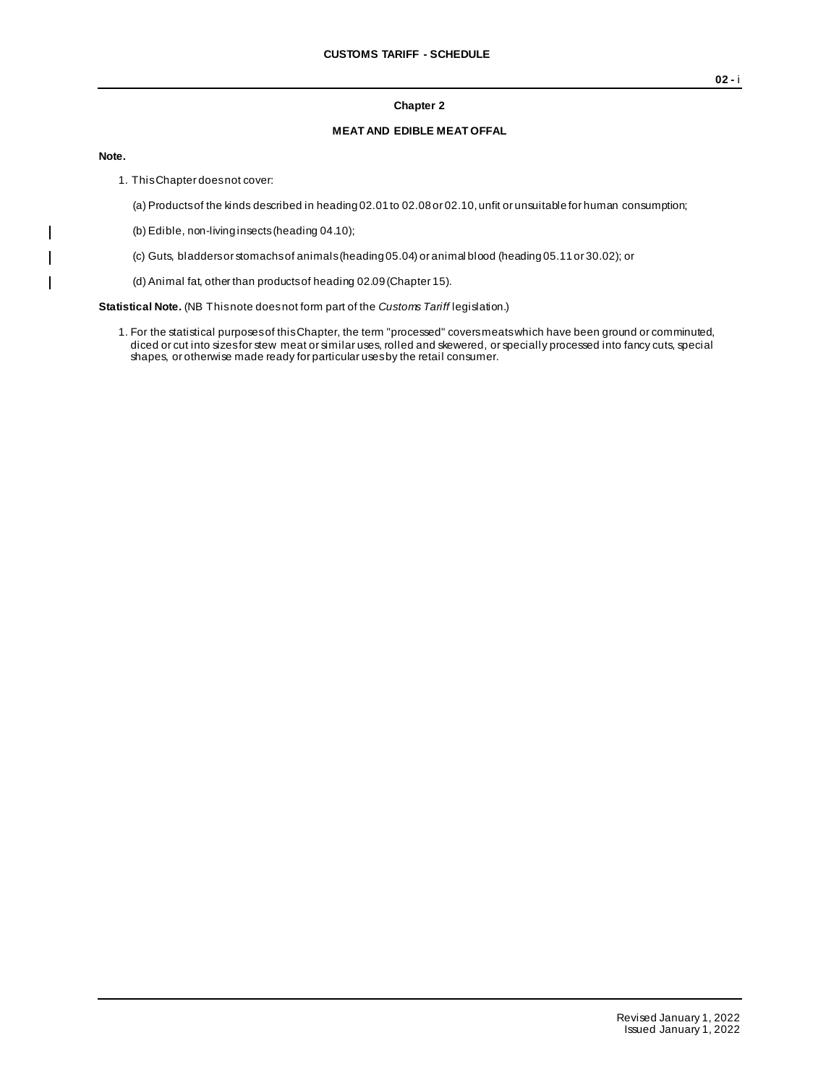### **Chapter 2**

#### **MEAT AND EDIBLE MEAT OFFAL**

#### **Note.**

 $\mathsf{I}$  $\mathbf{I}$  $\mathbf{I}$ 

- 1. This Chapter does not cover:
	- (a) Products of the kinds described in heading 02.01 to 02.08 or 02.10, unfit or unsuitable for human consumption;
	- (b) Edible, non-living insects (heading 04.10);
	- (c) Guts, bladders or stomachs of animals (heading 05.04) or animal blood (heading 05.11 or 30.02); or
	- (d) Animal fat, other than products of heading 02.09 (Chapter 15).

**Statistical Note.** (NB This note does not form part of the *Customs Tariff* legislation.)

1. For the statistical purposes of this Chapter, the term "processed" covers meats which have been ground or comminuted, diced or cut into sizes for stew meat or similar uses, rolled and skewered, or specially processed into fancy cuts, special shapes, or otherwise made ready for particular uses by the retail consumer.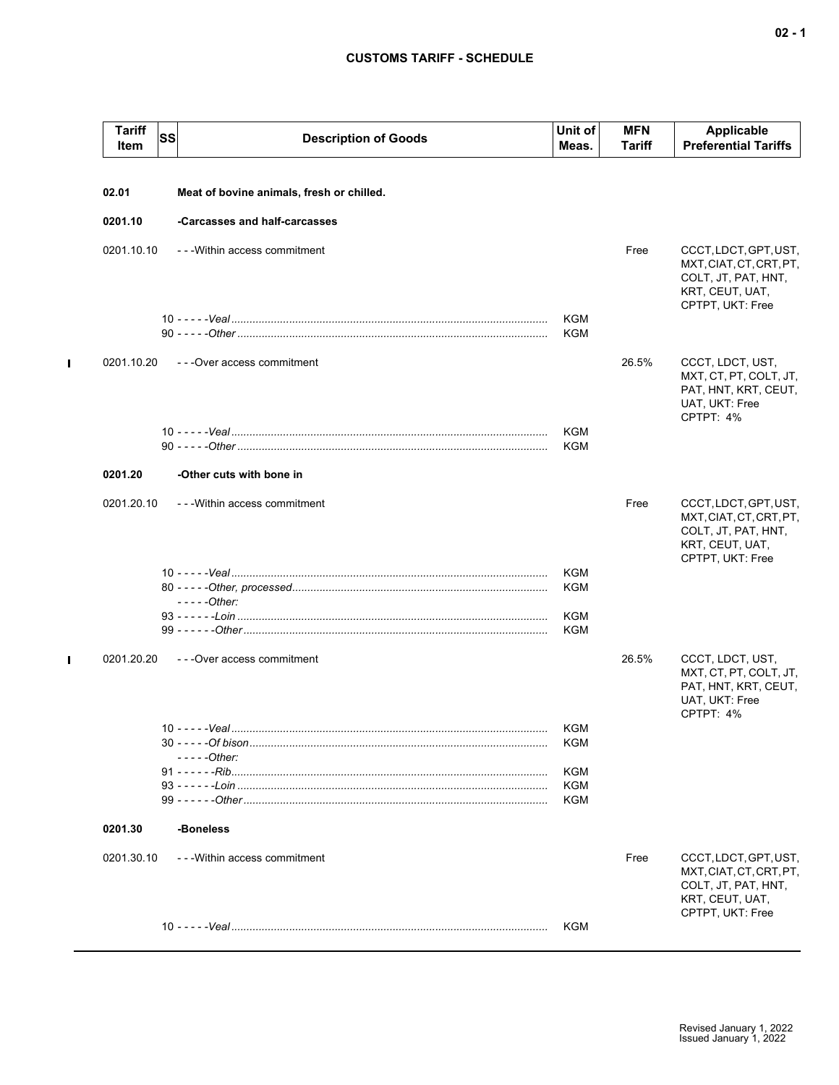| <b>Tariff</b><br>Item | <b>SS</b> | <b>Description of Goods</b>               | Unit of<br>Meas.         | <b>MFN</b><br>Tariff | Applicable<br><b>Preferential Tariffs</b>                                                                      |
|-----------------------|-----------|-------------------------------------------|--------------------------|----------------------|----------------------------------------------------------------------------------------------------------------|
| 02.01                 |           | Meat of bovine animals, fresh or chilled. |                          |                      |                                                                                                                |
| 0201.10               |           | -Carcasses and half-carcasses             |                          |                      |                                                                                                                |
| 0201.10.10            |           | - - - Within access commitment            |                          | Free                 | CCCT, LDCT, GPT, UST,<br>MXT, CIAT, CT, CRT, PT,<br>COLT, JT, PAT, HNT,<br>KRT, CEUT, UAT,<br>CPTPT, UKT: Free |
|                       |           |                                           | <b>KGM</b><br><b>KGM</b> |                      |                                                                                                                |
| 0201.10.20            |           | - - - Over access commitment              |                          | 26.5%                | CCCT, LDCT, UST,<br>MXT, CT, PT, COLT, JT,<br>PAT, HNT, KRT, CEUT,<br>UAT, UKT: Free<br>CPTPT: 4%              |
|                       |           |                                           | KGM<br>KGM               |                      |                                                                                                                |
| 0201.20               |           | -Other cuts with bone in                  |                          |                      |                                                                                                                |
| 0201.20.10            |           | - - - Within access commitment            |                          | Free                 | CCCT, LDCT, GPT, UST,<br>MXT, CIAT, CT, CRT, PT,<br>COLT, JT, PAT, HNT,<br>KRT, CEUT, UAT,<br>CPTPT, UKT: Free |
|                       |           | $---Other:$                               | KGM<br>KGM               |                      |                                                                                                                |
|                       |           |                                           | KGM<br>KGM               |                      |                                                                                                                |
| 0201.20.20            |           | - - - Over access commitment              |                          | 26.5%                | CCCT, LDCT, UST,<br>MXT, CT, PT, COLT, JT,<br>PAT, HNT, KRT, CEUT,<br>UAT, UKT: Free<br>CPTPT: 4%              |
|                       |           |                                           | KGM<br>KGM               |                      |                                                                                                                |
|                       |           | $--$ - $-$ Other:                         |                          |                      |                                                                                                                |
|                       |           |                                           | KGM<br>KGM               |                      |                                                                                                                |
|                       |           |                                           | KGM                      |                      |                                                                                                                |
| 0201.30               |           | -Boneless                                 |                          |                      |                                                                                                                |
| 0201.30.10            |           | - - - Within access commitment            |                          | Free                 | CCCT, LDCT, GPT, UST,<br>MXT.CIAT.CT.CRT.PT.<br>COLT, JT, PAT, HNT,<br>KRT, CEUT, UAT,<br>CPTPT, UKT: Free     |
|                       |           |                                           | KGM                      |                      |                                                                                                                |

 $\mathbf{I}$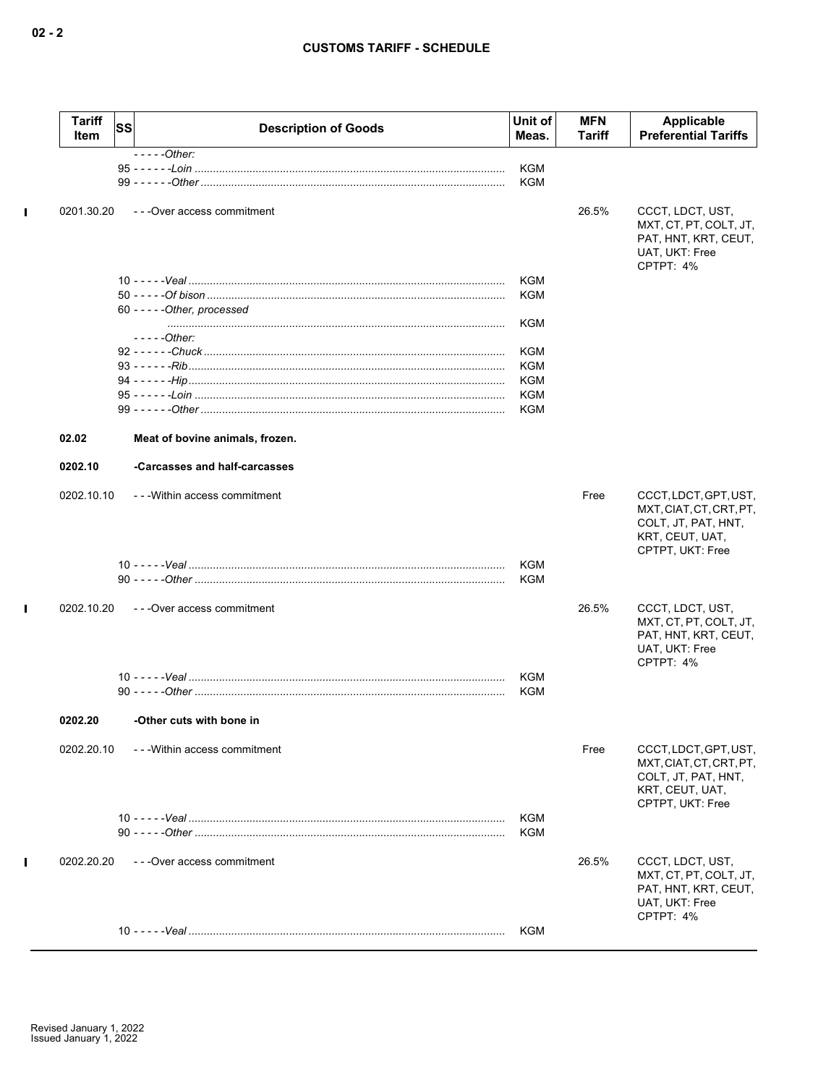|              | <b>Tariff</b><br>Item | <b>SS</b> | <b>Description of Goods</b>     | Unit of<br>Meas.  | <b>MFN</b><br>Tariff | Applicable<br><b>Preferential Tariffs</b>                                                                      |
|--------------|-----------------------|-----------|---------------------------------|-------------------|----------------------|----------------------------------------------------------------------------------------------------------------|
|              |                       |           | $---Other:$                     | KGM<br>KGM        |                      |                                                                                                                |
| $\mathbf I$  | 0201.30.20            |           | ---Over access commitment       |                   | 26.5%                | CCCT, LDCT, UST,<br>MXT, CT, PT, COLT, JT,<br>PAT, HNT, KRT, CEUT,<br>UAT, UKT: Free<br>CPTPT: 4%              |
|              |                       |           |                                 | KGM               |                      |                                                                                                                |
|              |                       |           |                                 | KGM               |                      |                                                                                                                |
|              |                       |           | 60 - - - - - Other, processed   | KGM               |                      |                                                                                                                |
|              |                       |           | - - - - -Other:                 |                   |                      |                                                                                                                |
|              |                       |           |                                 | KGM               |                      |                                                                                                                |
|              |                       |           |                                 | <b>KGM</b>        |                      |                                                                                                                |
|              |                       |           |                                 | KGM<br>KGM        |                      |                                                                                                                |
|              |                       |           |                                 | KGM               |                      |                                                                                                                |
|              | 02.02                 |           | Meat of bovine animals, frozen. |                   |                      |                                                                                                                |
|              | 0202.10               |           | -Carcasses and half-carcasses   |                   |                      |                                                                                                                |
|              | 0202.10.10            |           | ---Within access commitment     |                   | Free                 | CCCT, LDCT, GPT, UST,<br>MXT, CIAT, CT, CRT, PT,<br>COLT, JT, PAT, HNT,<br>KRT, CEUT, UAT,<br>CPTPT, UKT: Free |
|              |                       |           |                                 | KGM               |                      |                                                                                                                |
|              |                       |           |                                 | <b>KGM</b>        |                      |                                                                                                                |
| $\mathbf{I}$ | 0202.10.20            |           | ---Over access commitment       |                   | 26.5%                | CCCT, LDCT, UST,<br>MXT, CT, PT, COLT, JT,<br>PAT, HNT, KRT, CEUT,<br>UAT, UKT: Free<br>CPTPT: 4%              |
|              |                       |           |                                 | <b>KGM</b>        |                      |                                                                                                                |
|              |                       |           |                                 | KGM               |                      |                                                                                                                |
|              | 0202.20               |           | -Other cuts with bone in        |                   |                      |                                                                                                                |
|              | 0202.20.10            |           | ---Within access commitment     |                   | Free                 | CCCT, LDCT, GPT, UST,<br>MXT, CIAT, CT, CRT, PT,<br>COLT, JT, PAT, HNT,<br>KRT, CEUT, UAT,                     |
|              |                       |           |                                 | <b>KGM</b><br>KGM |                      | CPTPT, UKT: Free                                                                                               |
| $\mathbf I$  | 0202.20.20            |           | - - - Over access commitment    |                   | 26.5%                | CCCT, LDCT, UST,<br>MXT, CT, PT, COLT, JT,<br>PAT, HNT, KRT, CEUT,<br>UAT, UKT: Free                           |
|              |                       |           |                                 | KGM               |                      | CPTPT: 4%                                                                                                      |
|              |                       |           |                                 |                   |                      |                                                                                                                |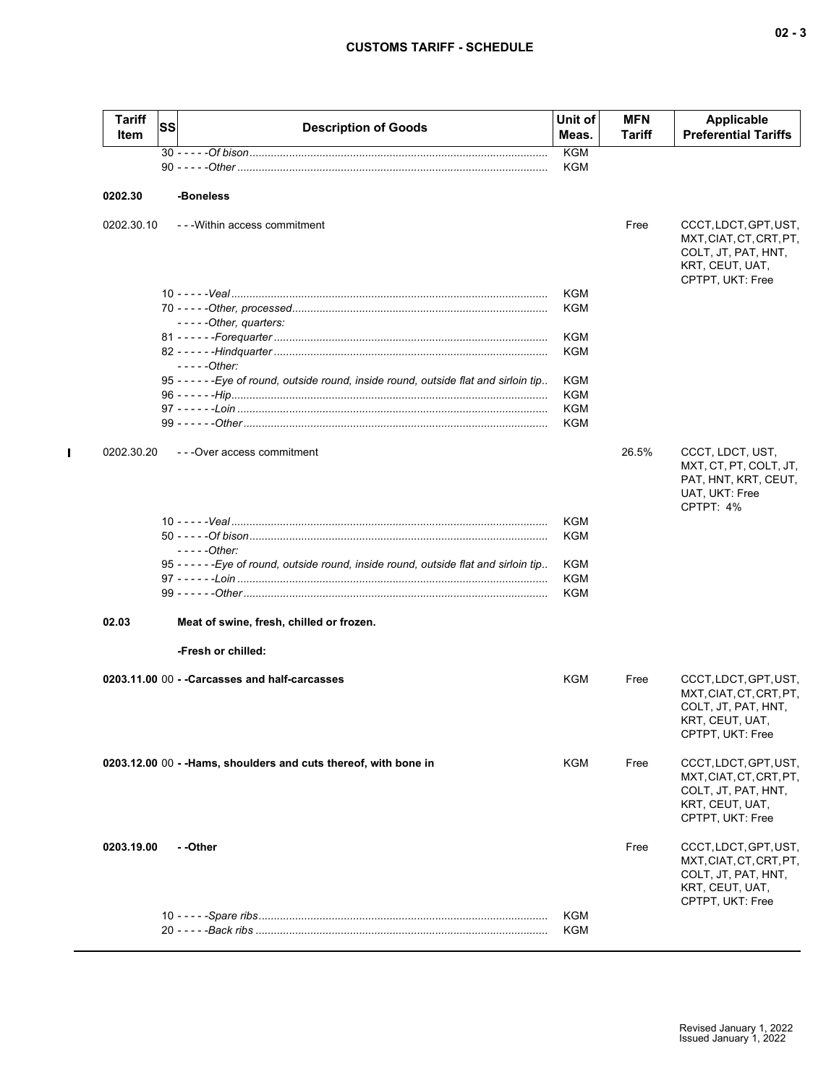| <b>Tariff</b><br>Item | SS | <b>Description of Goods</b>                                                                           | Unit of<br>Meas. | MFN<br>Tariff | <b>Applicable</b><br><b>Preferential Tariffs</b>                                                               |
|-----------------------|----|-------------------------------------------------------------------------------------------------------|------------------|---------------|----------------------------------------------------------------------------------------------------------------|
|                       |    |                                                                                                       | <b>KGM</b>       |               |                                                                                                                |
|                       |    |                                                                                                       | KGM              |               |                                                                                                                |
| 0202.30               |    | -Boneless                                                                                             |                  |               |                                                                                                                |
| 0202.30.10            |    | --- Within access commitment                                                                          |                  | Free          | CCCT, LDCT, GPT, UST,<br>MXT, CIAT, CT, CRT, PT,<br>COLT, JT, PAT, HNT,<br>KRT, CEUT, UAT,<br>CPTPT, UKT: Free |
|                       |    |                                                                                                       | <b>KGM</b>       |               |                                                                                                                |
|                       |    |                                                                                                       | KGM              |               |                                                                                                                |
|                       |    | $---Other, quarters:$                                                                                 |                  |               |                                                                                                                |
|                       |    |                                                                                                       | KGM              |               |                                                                                                                |
|                       |    |                                                                                                       | <b>KGM</b>       |               |                                                                                                                |
|                       |    | $---Other:$<br>95 - - - - - - Eye of round, outside round, inside round, outside flat and sirloin tip |                  |               |                                                                                                                |
|                       |    |                                                                                                       | KGM              |               |                                                                                                                |
|                       |    |                                                                                                       | KGM<br>KGM       |               |                                                                                                                |
|                       |    |                                                                                                       | <b>KGM</b>       |               |                                                                                                                |
|                       |    |                                                                                                       |                  |               |                                                                                                                |
| 0202.30.20            |    | ---Over access commitment                                                                             |                  | 26.5%         | CCCT, LDCT, UST,<br>MXT, CT, PT, COLT, JT,<br>PAT, HNT, KRT, CEUT,<br>UAT, UKT: Free<br>CPTPT: 4%              |
|                       |    |                                                                                                       | KGM              |               |                                                                                                                |
|                       |    |                                                                                                       | KGM              |               |                                                                                                                |
|                       |    | $---Other:$                                                                                           |                  |               |                                                                                                                |
|                       |    | 95 - - - - - - Eye of round, outside round, inside round, outside flat and sirloin tip                | KGM              |               |                                                                                                                |
|                       |    |                                                                                                       | KGM              |               |                                                                                                                |
|                       |    |                                                                                                       | KGM              |               |                                                                                                                |
| 02.03                 |    | Meat of swine, fresh, chilled or frozen.                                                              |                  |               |                                                                                                                |
|                       |    | -Fresh or chilled:                                                                                    |                  |               |                                                                                                                |
|                       |    | 0203.11.00 00 - - Carcasses and half-carcasses                                                        | KGM              | Free          | CCCT, LDCT, GPT, UST,<br>MXT, CIAT, CT, CRT, PT,<br>COLT, JT, PAT, HNT,<br>KRT, CEUT, UAT,<br>CPTPT, UKT: Free |
|                       |    | 0203.12.00 00 - - Hams, shoulders and cuts thereof, with bone in                                      | <b>KGM</b>       | Free          | CCCT, LDCT, GPT, UST,<br>MXT, CIAT, CT, CRT, PT,<br>COLT, JT, PAT, HNT,<br>KRT, CEUT, UAT,<br>CPTPT, UKT: Free |
| 0203.19.00            |    | - -Other                                                                                              |                  | Free          | CCCT, LDCT, GPT, UST,<br>MXT.CIAT.CT.CRT.PT.<br>COLT, JT, PAT, HNT,<br>KRT, CEUT, UAT,<br>CPTPT, UKT: Free     |
|                       |    |                                                                                                       | KGM              |               |                                                                                                                |
|                       |    |                                                                                                       | KGM              |               |                                                                                                                |

 $\mathbf{I}$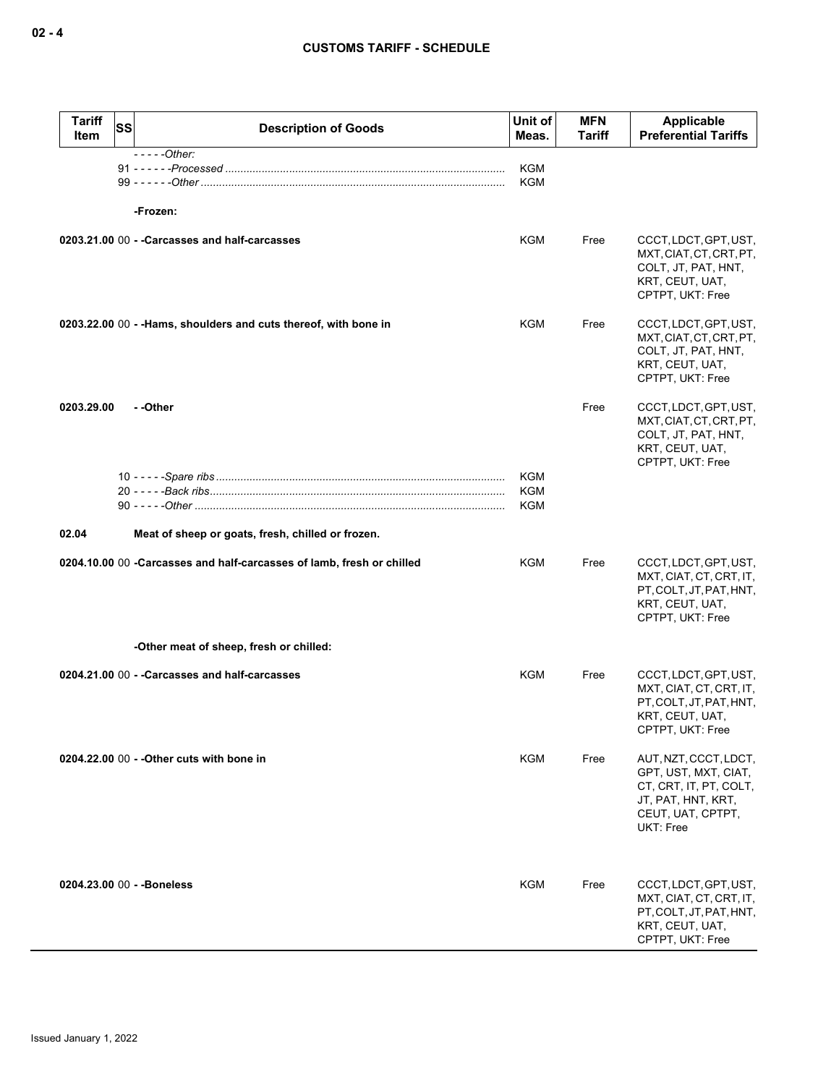| <b>Tariff</b><br><b>SS</b><br>Item | <b>Description of Goods</b>                                           | Unit of<br>Meas.                | <b>MFN</b><br>Tariff | Applicable<br><b>Preferential Tariffs</b>                                                                                       |
|------------------------------------|-----------------------------------------------------------------------|---------------------------------|----------------------|---------------------------------------------------------------------------------------------------------------------------------|
|                                    | $---Other:$<br>-Frozen:                                               | KGM<br><b>KGM</b>               |                      |                                                                                                                                 |
|                                    | 0203.21.00 00 - - Carcasses and half-carcasses                        | KGM                             | Free                 | CCCT, LDCT, GPT, UST,<br>MXT, CIAT, CT, CRT, PT,<br>COLT, JT, PAT, HNT,<br>KRT, CEUT, UAT,<br>CPTPT, UKT: Free                  |
|                                    | 0203.22.00 00 - - Hams, shoulders and cuts thereof, with bone in      | KGM                             | Free                 | CCCT, LDCT, GPT, UST,<br>MXT, CIAT, CT, CRT, PT,<br>COLT, JT, PAT, HNT,<br>KRT, CEUT, UAT,<br>CPTPT, UKT: Free                  |
| 0203.29.00                         | - -Other                                                              |                                 | Free                 | CCCT, LDCT, GPT, UST,<br>MXT, CIAT, CT, CRT, PT,<br>COLT, JT, PAT, HNT,<br>KRT, CEUT, UAT,<br>CPTPT, UKT: Free                  |
|                                    |                                                                       | <b>KGM</b><br><b>KGM</b><br>KGM |                      |                                                                                                                                 |
| 02.04                              | Meat of sheep or goats, fresh, chilled or frozen.                     |                                 |                      |                                                                                                                                 |
|                                    | 0204.10.00 00 -Carcasses and half-carcasses of lamb, fresh or chilled | KGM                             | Free                 | CCCT, LDCT, GPT, UST,<br>MXT, CIAT, CT, CRT, IT,<br>PT, COLT, JT, PAT, HNT,<br>KRT, CEUT, UAT,<br>CPTPT, UKT: Free              |
|                                    | -Other meat of sheep, fresh or chilled:                               |                                 |                      |                                                                                                                                 |
|                                    | 0204.21.00 00 - - Carcasses and half-carcasses                        | KGM                             | Free                 | CCCT, LDCT, GPT, UST,<br>MXT, CIAT, CT, CRT, IT,<br>PT, COLT, JT, PAT, HNT,<br>KRT, CEUT, UAT,<br>CPTPT, UKT: Free              |
|                                    | 0204.22.00 00 - - Other cuts with bone in                             | KGM                             | Free                 | AUT, NZT, CCCT, LDCT,<br>GPT, UST, MXT, CIAT,<br>CT, CRT, IT, PT, COLT,<br>JT, PAT, HNT, KRT,<br>CEUT, UAT, CPTPT,<br>UKT: Free |
| 0204.23.00 00 - - Boneless         |                                                                       | KGM                             | Free                 | CCCT, LDCT, GPT, UST,<br>MXT, CIAT, CT, CRT, IT,<br>PT, COLT, JT, PAT, HNT,<br>KRT, CEUT, UAT,<br>CPTPT, UKT: Free              |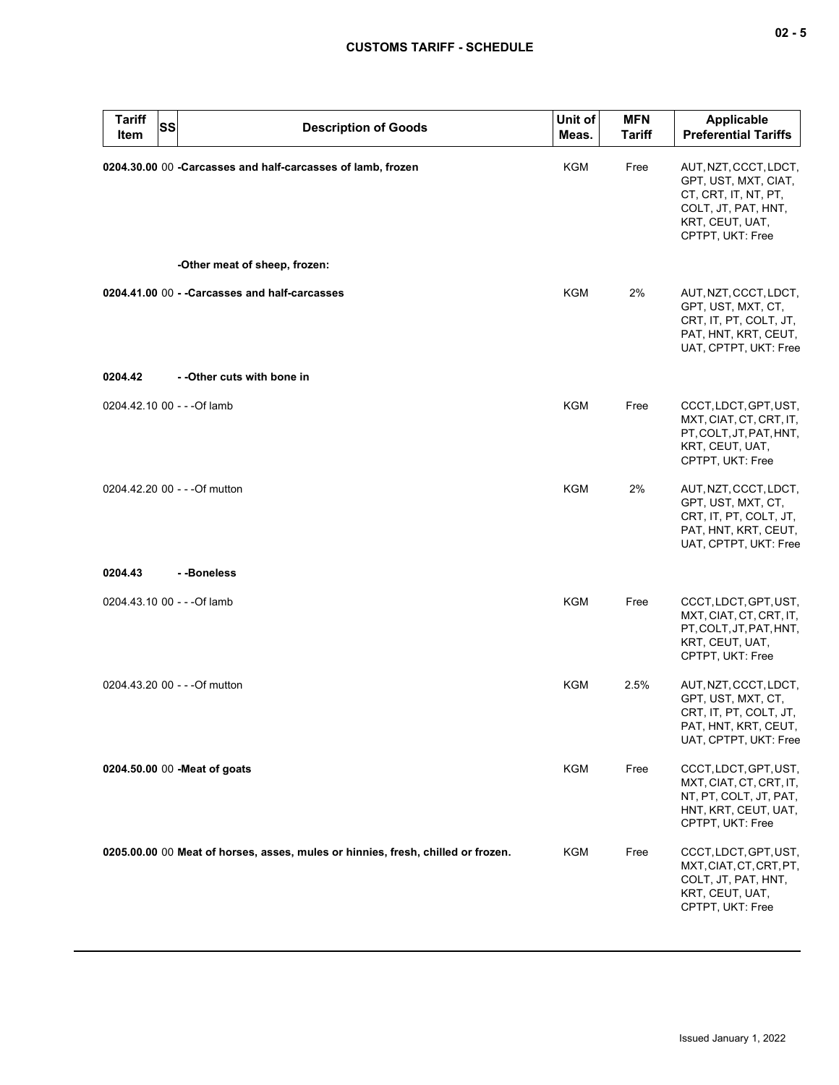| <b>Tariff</b><br>SS<br>Item   | <b>Description of Goods</b>                                                      | Unit of<br>Meas. | <b>MFN</b><br><b>Tariff</b> | Applicable<br><b>Preferential Tariffs</b>                                                                                           |
|-------------------------------|----------------------------------------------------------------------------------|------------------|-----------------------------|-------------------------------------------------------------------------------------------------------------------------------------|
|                               | 0204.30.00 00 -Carcasses and half-carcasses of lamb, frozen                      | KGM              | Free                        | AUT, NZT, CCCT, LDCT,<br>GPT, UST, MXT, CIAT,<br>CT, CRT, IT, NT, PT,<br>COLT, JT, PAT, HNT,<br>KRT, CEUT, UAT,<br>CPTPT, UKT: Free |
|                               | -Other meat of sheep, frozen:                                                    |                  |                             |                                                                                                                                     |
|                               | 0204.41.00 00 - - Carcasses and half-carcasses                                   | <b>KGM</b>       | 2%                          | AUT, NZT, CCCT, LDCT,<br>GPT, UST, MXT, CT,<br>CRT, IT, PT, COLT, JT,<br>PAT, HNT, KRT, CEUT,<br>UAT, CPTPT, UKT: Free              |
| 0204.42                       | - - Other cuts with bone in                                                      |                  |                             |                                                                                                                                     |
| 0204.42.10 00 - - - Of lamb   |                                                                                  | KGM              | Free                        | CCCT, LDCT, GPT, UST,<br>MXT, CIAT, CT, CRT, IT,<br>PT, COLT, JT, PAT, HNT,<br>KRT, CEUT, UAT,<br>CPTPT, UKT: Free                  |
| 0204.42.20 00 - - - Of mutton |                                                                                  | <b>KGM</b>       | 2%                          | AUT, NZT, CCCT, LDCT,<br>GPT, UST, MXT, CT,<br>CRT, IT, PT, COLT, JT,<br>PAT, HNT, KRT, CEUT,<br>UAT, CPTPT, UKT: Free              |
| 0204.43                       | --Boneless                                                                       |                  |                             |                                                                                                                                     |
| 0204.43.10 00 - - - Of lamb   |                                                                                  | <b>KGM</b>       | Free                        | CCCT, LDCT, GPT, UST,<br>MXT, CIAT, CT, CRT, IT,<br>PT, COLT, JT, PAT, HNT,<br>KRT, CEUT, UAT,<br>CPTPT, UKT: Free                  |
| 0204.43.20 00 - - - Of mutton |                                                                                  | KGM              | 2.5%                        | AUT, NZT, CCCT, LDCT,<br>GPT, UST, MXT, CT,<br>CRT, IT, PT, COLT, JT,<br>PAT, HNT, KRT, CEUT,<br>UAT, CPTPT, UKT: Free              |
| 0204.50.00 00 - Meat of goats |                                                                                  | KGM              | Free                        | CCCT, LDCT, GPT, UST,<br>MXT, CIAT, CT, CRT, IT,<br>NT, PT, COLT, JT, PAT,<br>HNT, KRT, CEUT, UAT,<br>CPTPT, UKT: Free              |
|                               | 0205.00.00 00 Meat of horses, asses, mules or hinnies, fresh, chilled or frozen. | KGM              | Free                        | CCCT, LDCT, GPT, UST,<br>MXT, CIAT, CT, CRT, PT,<br>COLT, JT, PAT, HNT,<br>KRT, CEUT, UAT,<br>CPTPT, UKT: Free                      |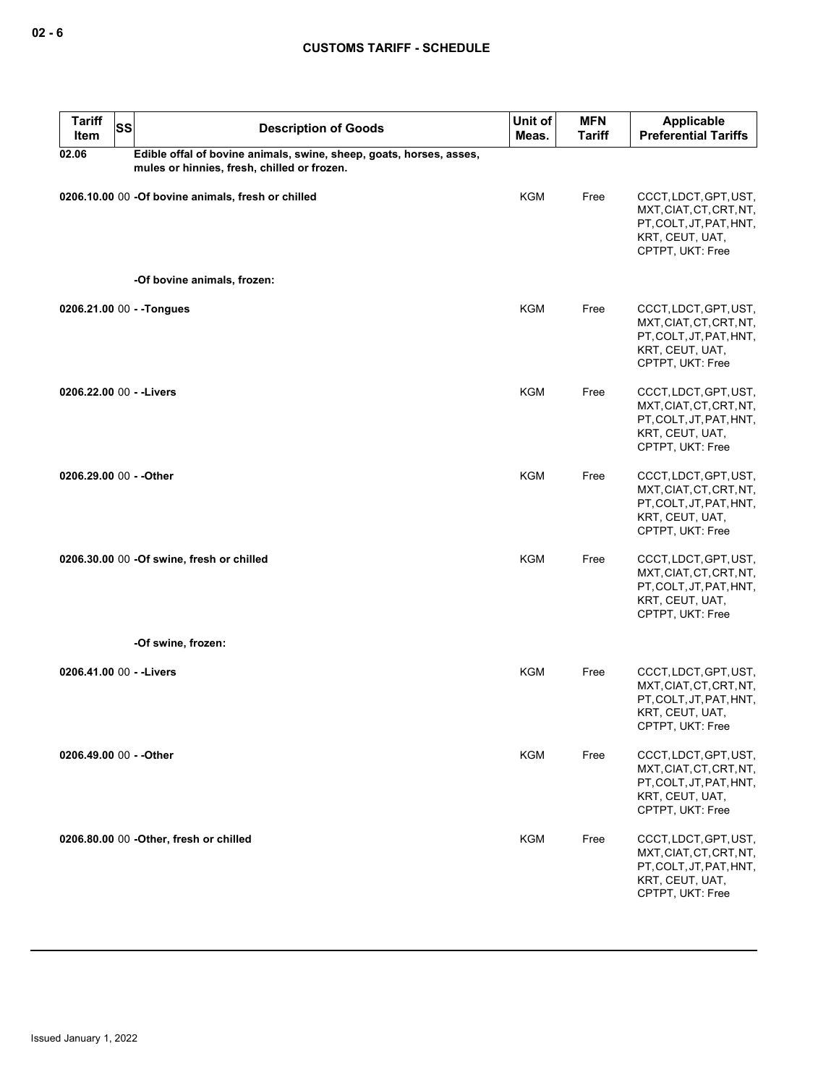| <b>Tariff</b><br>Item    | <b>SS</b> | <b>Description of Goods</b>                                                                                        | Unit of<br>Meas. | <b>MFN</b><br><b>Tariff</b> | <b>Applicable</b><br><b>Preferential Tariffs</b>                                                                   |
|--------------------------|-----------|--------------------------------------------------------------------------------------------------------------------|------------------|-----------------------------|--------------------------------------------------------------------------------------------------------------------|
| 02.06                    |           | Edible offal of bovine animals, swine, sheep, goats, horses, asses,<br>mules or hinnies, fresh, chilled or frozen. |                  |                             |                                                                                                                    |
|                          |           | 0206.10.00 00 -Of bovine animals, fresh or chilled                                                                 | <b>KGM</b>       | Free                        | CCCT, LDCT, GPT, UST,<br>MXT, CIAT, CT, CRT, NT,<br>PT, COLT, JT, PAT, HNT,<br>KRT, CEUT, UAT,<br>CPTPT, UKT: Free |
|                          |           | -Of bovine animals, frozen:                                                                                        |                  |                             |                                                                                                                    |
|                          |           | 0206.21.00 00 - - Tongues                                                                                          | <b>KGM</b>       | Free                        | CCCT, LDCT, GPT, UST,<br>MXT, CIAT, CT, CRT, NT,<br>PT, COLT, JT, PAT, HNT,<br>KRT, CEUT, UAT,<br>CPTPT, UKT: Free |
| 0206.22.00 00 - - Livers |           |                                                                                                                    | <b>KGM</b>       | Free                        | CCCT, LDCT, GPT, UST,<br>MXT.CIAT.CT.CRT.NT.<br>PT, COLT, JT, PAT, HNT,<br>KRT, CEUT, UAT,<br>CPTPT, UKT: Free     |
| 0206.29.00 00 - - Other  |           |                                                                                                                    | <b>KGM</b>       | Free                        | CCCT, LDCT, GPT, UST,<br>MXT, CIAT, CT, CRT, NT,<br>PT, COLT, JT, PAT, HNT,<br>KRT, CEUT, UAT,<br>CPTPT, UKT: Free |
|                          |           | 0206.30.00 00 -Of swine, fresh or chilled                                                                          | <b>KGM</b>       | Free                        | CCCT, LDCT, GPT, UST,<br>MXT, CIAT, CT, CRT, NT,<br>PT, COLT, JT, PAT, HNT,<br>KRT, CEUT, UAT,<br>CPTPT, UKT: Free |
|                          |           | -Of swine, frozen:                                                                                                 |                  |                             |                                                                                                                    |
| 0206.41.00 00 - - Livers |           |                                                                                                                    | KGM              | Free                        | CCCT, LDCT, GPT, UST,<br>MXT, CIAT, CT, CRT, NT,<br>PT, COLT, JT, PAT, HNT,<br>KRT, CEUT, UAT,<br>CPTPT, UKT: Free |
| 0206.49.00 00 - - Other  |           |                                                                                                                    | <b>KGM</b>       | Free                        | CCCT, LDCT, GPT, UST,<br>MXT, CIAT, CT, CRT, NT,<br>PT, COLT, JT, PAT, HNT,<br>KRT, CEUT, UAT,<br>CPTPT, UKT: Free |
|                          |           | 0206.80.00 00 - Other, fresh or chilled                                                                            | KGM              | Free                        | CCCT, LDCT, GPT, UST,<br>MXT, CIAT, CT, CRT, NT,<br>PT, COLT, JT, PAT, HNT,<br>KRT, CEUT, UAT,<br>CPTPT, UKT: Free |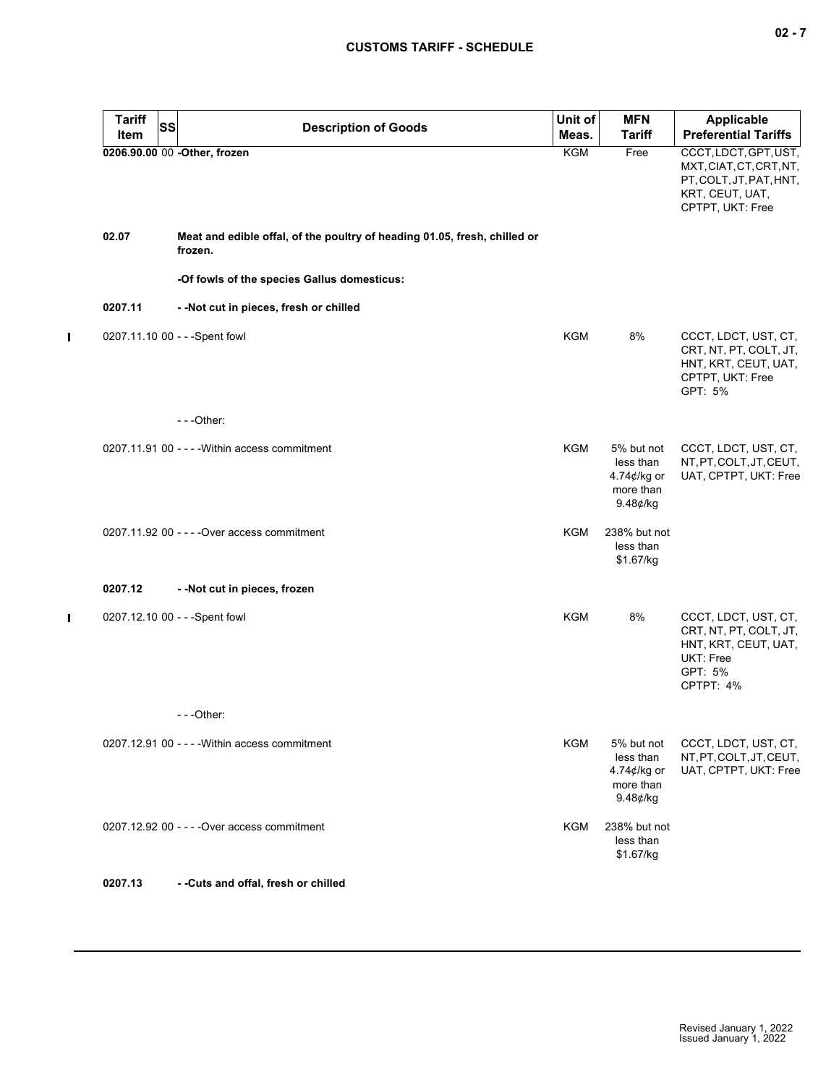| $\sim$ |  |  |
|--------|--|--|
|--------|--|--|

| <b>Tariff</b> | SS | <b>Description of Goods</b>                                                          | Unit of    | <b>MFN</b>                                                         | <b>Applicable</b>                                                                                                  |
|---------------|----|--------------------------------------------------------------------------------------|------------|--------------------------------------------------------------------|--------------------------------------------------------------------------------------------------------------------|
| Item          |    |                                                                                      | Meas.      | <b>Tariff</b>                                                      | <b>Preferential Tariffs</b>                                                                                        |
|               |    | 0206.90.00 00 -Other, frozen                                                         | KGM        | Free                                                               | CCCT, LDCT, GPT, UST,<br>MXT, CIAT, CT, CRT, NT,<br>PT, COLT, JT, PAT, HNT,<br>KRT, CEUT, UAT,<br>CPTPT, UKT: Free |
| 02.07         |    | Meat and edible offal, of the poultry of heading 01.05, fresh, chilled or<br>frozen. |            |                                                                    |                                                                                                                    |
|               |    | -Of fowls of the species Gallus domesticus:                                          |            |                                                                    |                                                                                                                    |
| 0207.11       |    | - - Not cut in pieces, fresh or chilled                                              |            |                                                                    |                                                                                                                    |
|               |    | 0207.11.10 00 - - - Spent fowl                                                       | KGM        | 8%                                                                 | CCCT, LDCT, UST, CT,<br>CRT, NT, PT, COLT, JT,<br>HNT, KRT, CEUT, UAT,<br>CPTPT, UKT: Free<br>GPT: 5%              |
|               |    | $- -$ Other:                                                                         |            |                                                                    |                                                                                                                    |
|               |    | 0207.11.91 00 - - - - Within access commitment                                       | <b>KGM</b> | 5% but not<br>less than<br>4.74¢/kg or<br>more than<br>$9.48¢$ /kg | CCCT, LDCT, UST, CT,<br>NT, PT, COLT, JT, CEUT,<br>UAT, CPTPT, UKT: Free                                           |
|               |    | 0207.11.92 00 - - - - Over access commitment                                         | KGM        | 238% but not<br>less than<br>\$1.67/kg                             |                                                                                                                    |
| 0207.12       |    | - - Not cut in pieces, frozen                                                        |            |                                                                    |                                                                                                                    |
|               |    | 0207.12.10 00 - - - Spent fowl                                                       | <b>KGM</b> | 8%                                                                 | CCCT, LDCT, UST, CT,<br>CRT, NT, PT, COLT, JT,<br>HNT, KRT, CEUT, UAT,<br>UKT: Free<br>GPT: 5%<br>CPTPT: 4%        |
|               |    | ---Other:                                                                            |            |                                                                    |                                                                                                                    |
|               |    | $0207.12.91$ 00 - - - - Within access commitment                                     | KGM        | 5% but not<br>less than<br>4.74¢/kg or<br>more than<br>9.48¢/kg    | CCCT, LDCT, UST, CT,<br>NT, PT, COLT, JT, CEUT,<br>UAT, CPTPT, UKT: Free                                           |
|               |    | 0207.12.92 00 - - - - Over access commitment                                         | KGM        | 238% but not<br>less than<br>\$1.67/kg                             |                                                                                                                    |
| 0207.13       |    | - - Cuts and offal, fresh or chilled                                                 |            |                                                                    |                                                                                                                    |
|               |    |                                                                                      |            |                                                                    |                                                                                                                    |

 $\blacksquare$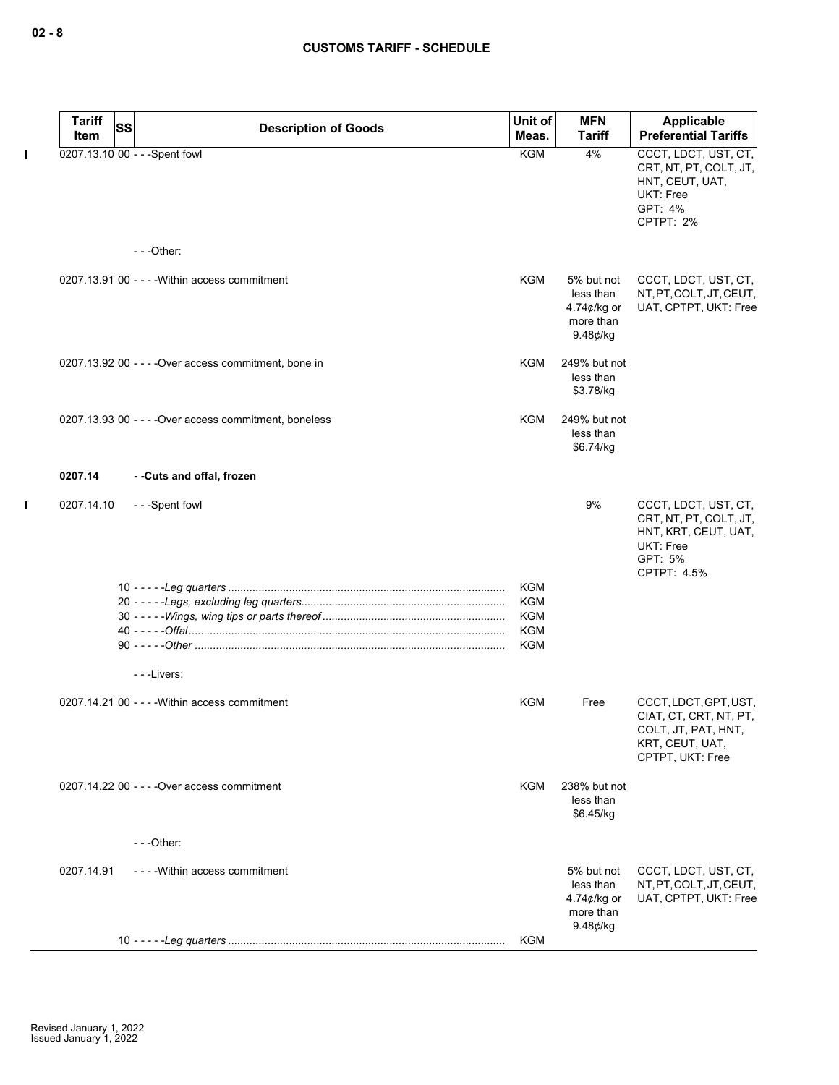$\pmb{\mathsf{I}}$ 

| <b>Tariff</b> | <b>SS</b>                                              | Unit of    | <b>MFN</b>                                                                   | Applicable                                                                                                    |
|---------------|--------------------------------------------------------|------------|------------------------------------------------------------------------------|---------------------------------------------------------------------------------------------------------------|
| Item          | <b>Description of Goods</b>                            | Meas.      | Tariff                                                                       | <b>Preferential Tariffs</b>                                                                                   |
|               | 0207.13.10 00 - - - Spent fowl                         | <b>KGM</b> | 4%                                                                           | CCCT, LDCT, UST, CT,<br>CRT, NT, PT, COLT, JT,<br>HNT, CEUT, UAT,<br>UKT: Free<br>GPT: 4%<br>CPTPT: 2%        |
|               | $- -$ Other:                                           |            |                                                                              |                                                                                                               |
|               | 0207.13.91 00 - - - - Within access commitment         | <b>KGM</b> | 5% but not<br>less than<br>4.74¢/kg or<br>more than<br>$9.48$ ¢/kg           | CCCT, LDCT, UST, CT,<br>NT, PT, COLT, JT, CEUT,<br>UAT, CPTPT, UKT: Free                                      |
|               | 0207.13.92 00 - - - - Over access commitment, bone in  | KGM        | 249% but not<br>less than<br>\$3.78/kg                                       |                                                                                                               |
|               | 0207.13.93 00 - - - - Over access commitment, boneless | <b>KGM</b> | 249% but not<br>less than<br>\$6.74/kg                                       |                                                                                                               |
| 0207.14       | - -Cuts and offal, frozen                              |            |                                                                              |                                                                                                               |
| 0207.14.10    | ---Spent fowl                                          |            | 9%                                                                           | CCCT, LDCT, UST, CT,<br>CRT, NT, PT, COLT, JT,<br>HNT, KRT, CEUT, UAT,<br>UKT: Free<br>GPT: 5%<br>CPTPT: 4.5% |
|               |                                                        | <b>KGM</b> |                                                                              |                                                                                                               |
|               |                                                        | <b>KGM</b> |                                                                              |                                                                                                               |
|               |                                                        | <b>KGM</b> |                                                                              |                                                                                                               |
|               |                                                        | <b>KGM</b> |                                                                              |                                                                                                               |
|               |                                                        | KGM        |                                                                              |                                                                                                               |
|               | ---Livers:                                             |            |                                                                              |                                                                                                               |
|               | 0207.14.21 00 - - - - Within access commitment         | KGM        | Free                                                                         | CCCT, LDCT, GPT, UST,<br>CIAT, CT, CRT, NT, PT,<br>COLT, JT, PAT, HNT,<br>KRT, CEUT, UAT,<br>CPTPT, UKT: Free |
|               | 0207.14.22 00 - - - - Over access commitment           | KGM        | 238% but not<br>less than<br>\$6.45/kg                                       |                                                                                                               |
|               | $-$ - - Other:                                         |            |                                                                              |                                                                                                               |
| 0207.14.91    | ----Within access commitment                           |            | 5% but not<br>less than<br>4.74 $\not\in$ /kg or<br>more than<br>$9.48$ ¢/kg | CCCT, LDCT, UST, CT,<br>NT, PT, COLT, JT, CEUT,<br>UAT, CPTPT, UKT: Free                                      |
|               |                                                        | KGM        |                                                                              |                                                                                                               |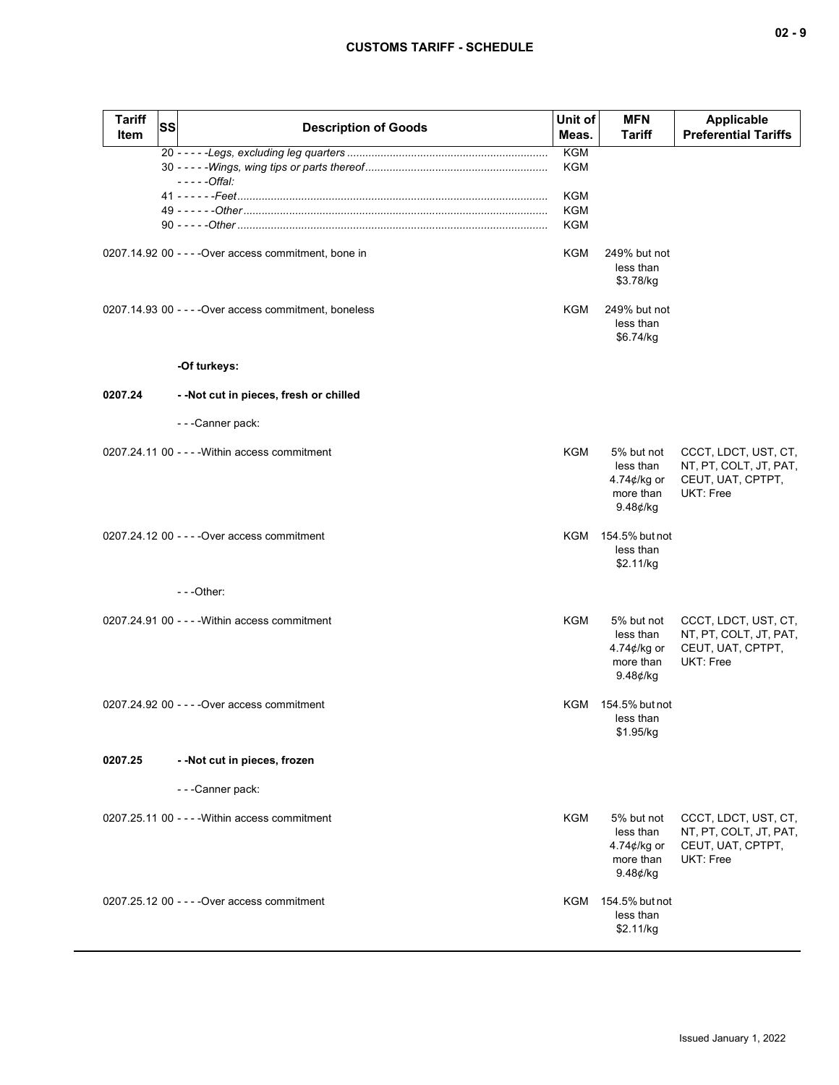| Tariff<br>Item | <b>SS</b> | <b>Description of Goods</b>                            | Unit of<br>Meas.  | <b>MFN</b><br>Tariff                                                         | <b>Applicable</b><br><b>Preferential Tariffs</b>                                 |
|----------------|-----------|--------------------------------------------------------|-------------------|------------------------------------------------------------------------------|----------------------------------------------------------------------------------|
|                |           |                                                        | <b>KGM</b>        |                                                                              |                                                                                  |
|                |           | $---Offal:$                                            | KGM               |                                                                              |                                                                                  |
|                |           |                                                        | KGM               |                                                                              |                                                                                  |
|                |           |                                                        | <b>KGM</b><br>KGM |                                                                              |                                                                                  |
|                |           |                                                        |                   |                                                                              |                                                                                  |
|                |           | 0207.14.92 00 - - - - Over access commitment, bone in  | <b>KGM</b>        | 249% but not<br>less than<br>\$3.78/kg                                       |                                                                                  |
|                |           | 0207.14.93 00 - - - - Over access commitment, boneless | KGM               | 249% but not<br>less than<br>\$6.74/kg                                       |                                                                                  |
|                |           | -Of turkeys:                                           |                   |                                                                              |                                                                                  |
| 0207.24        |           | - - Not cut in pieces, fresh or chilled                |                   |                                                                              |                                                                                  |
|                |           | - - - Canner pack:                                     |                   |                                                                              |                                                                                  |
|                |           | 0207.24.11 00 - - - - Within access commitment         | KGM               | 5% but not<br>less than<br>4.74¢/kg or<br>more than<br>$9.48$ ¢/kg           | CCCT, LDCT, UST, CT,<br>NT, PT, COLT, JT, PAT,<br>CEUT, UAT, CPTPT,<br>UKT: Free |
|                |           | 0207.24.12 00 - - - - Over access commitment           |                   | KGM 154.5% but not<br>less than<br>\$2.11/kg                                 |                                                                                  |
|                |           | $- -$ Other:                                           |                   |                                                                              |                                                                                  |
|                |           | 0207.24.91 00 - - - - Within access commitment         | KGM               | 5% but not<br>less than<br>4.74 $\not\in$ /kg or<br>more than<br>$9.48$ ¢/kg | CCCT, LDCT, UST, CT,<br>NT, PT, COLT, JT, PAT,<br>CEUT, UAT, CPTPT,<br>UKT: Free |
|                |           | 0207.24.92 00 - - - - Over access commitment           |                   | KGM 154.5% but not<br>less than<br>\$1.95/kg                                 |                                                                                  |
| 0207.25        |           | - - Not cut in pieces, frozen                          |                   |                                                                              |                                                                                  |
|                |           | - - - Canner pack:                                     |                   |                                                                              |                                                                                  |
|                |           | 0207.25.11 00 - - - - Within access commitment         | KGM               | 5% but not<br>less than<br>4.74¢/kg or<br>more than<br>$9.48$ ¢/kg           | CCCT, LDCT, UST, CT,<br>NT, PT, COLT, JT, PAT,<br>CEUT, UAT, CPTPT,<br>UKT: Free |
|                |           | 0207.25.12 00 - - - - Over access commitment           |                   | KGM 154.5% but not<br>less than<br>\$2.11/kg                                 |                                                                                  |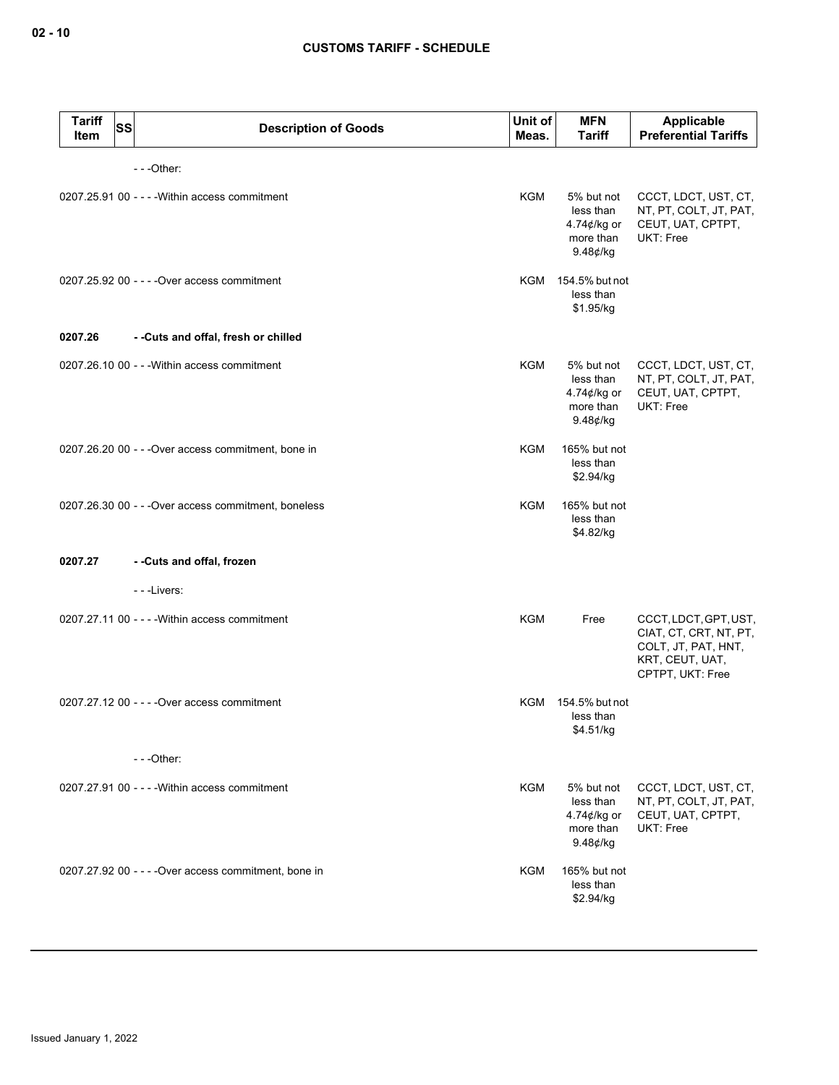| <b>Tariff</b><br><b>SS</b><br>Item | <b>Description of Goods</b>                           | Unit of<br>Meas. | <b>MFN</b><br><b>Tariff</b>                                                  | Applicable<br><b>Preferential Tariffs</b>                                                                     |
|------------------------------------|-------------------------------------------------------|------------------|------------------------------------------------------------------------------|---------------------------------------------------------------------------------------------------------------|
|                                    | $- -$ Other:                                          |                  |                                                                              |                                                                                                               |
|                                    | 0207.25.91 00 - - - - Within access commitment        | <b>KGM</b>       | 5% but not<br>less than<br>4.74¢/kg or<br>more than<br>$9.48$ ¢/kg           | CCCT, LDCT, UST, CT,<br>NT, PT, COLT, JT, PAT,<br>CEUT, UAT, CPTPT,<br>UKT: Free                              |
|                                    | 0207.25.92 00 - - - - Over access commitment          |                  | KGM 154.5% but not<br>less than<br>\$1.95/kg                                 |                                                                                                               |
| 0207.26                            | --Cuts and offal, fresh or chilled                    |                  |                                                                              |                                                                                                               |
|                                    | 0207.26.10 00 - - - Within access commitment          | KGM              | 5% but not<br>less than<br>4.74¢/kg or<br>more than<br>9.48¢/kg              | CCCT, LDCT, UST, CT,<br>NT, PT, COLT, JT, PAT,<br>CEUT, UAT, CPTPT,<br>UKT: Free                              |
|                                    | 0207.26.20 00 - - - Over access commitment, bone in   | KGM              | 165% but not<br>less than<br>\$2.94/kg                                       |                                                                                                               |
|                                    | 0207.26.30 00 - - - Over access commitment, boneless  | <b>KGM</b>       | 165% but not<br>less than<br>\$4.82/kg                                       |                                                                                                               |
| 0207.27                            | - -Cuts and offal, frozen                             |                  |                                                                              |                                                                                                               |
|                                    | ---Livers:                                            |                  |                                                                              |                                                                                                               |
|                                    | 0207.27.11 00 - - - - Within access commitment        | <b>KGM</b>       | Free                                                                         | CCCT, LDCT, GPT, UST,<br>CIAT, CT, CRT, NT, PT,<br>COLT, JT, PAT, HNT,<br>KRT, CEUT, UAT,<br>CPTPT, UKT: Free |
|                                    | 0207.27.12 00 - - - - Over access commitment          |                  | KGM 154.5% but not<br>less than<br>\$4.51/kg                                 |                                                                                                               |
|                                    | $--$ Other:                                           |                  |                                                                              |                                                                                                               |
|                                    | 0207.27.91 00 - - - - Within access commitment        | <b>KGM</b>       | 5% but not<br>less than<br>4.74 $\not\in$ /kg or<br>more than<br>$9.48$ ¢/kg | CCCT, LDCT, UST, CT,<br>NT, PT, COLT, JT, PAT,<br>CEUT, UAT, CPTPT,<br>UKT: Free                              |
|                                    | 0207.27.92 00 - - - - Over access commitment, bone in | KGM              | 165% but not<br>less than<br>\$2.94/kg                                       |                                                                                                               |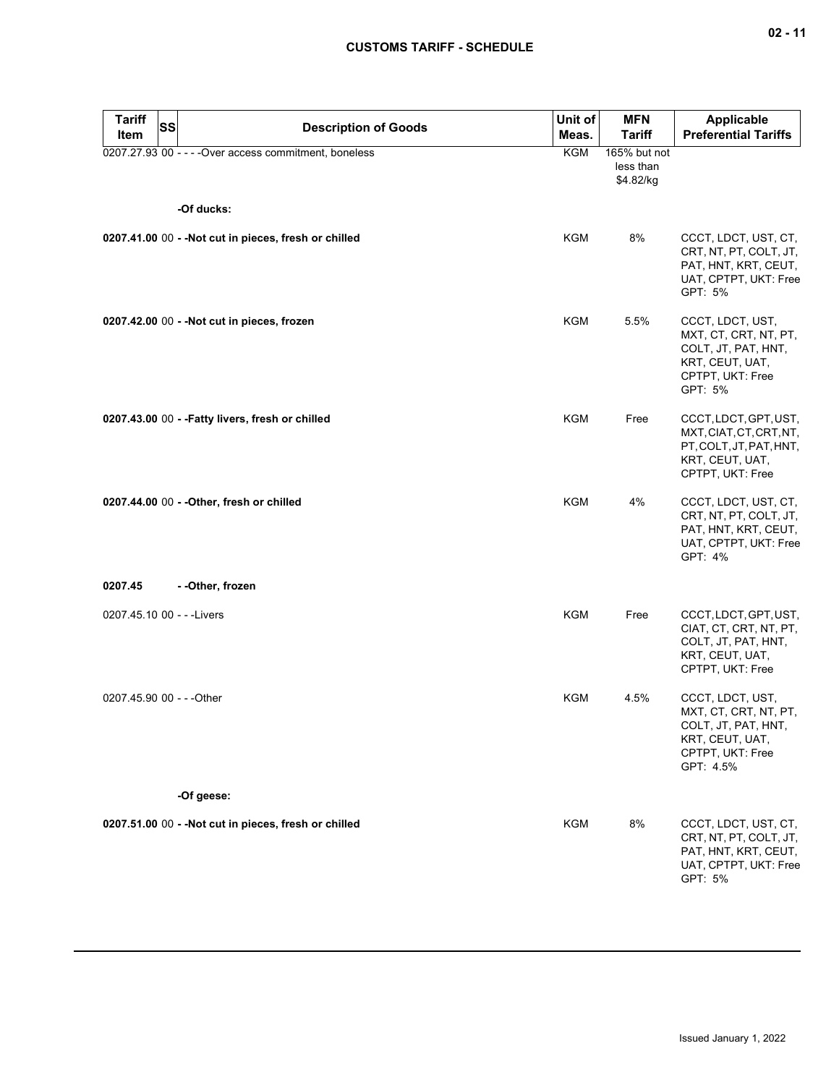| <b>Tariff</b><br>Item      | <b>SS</b> | <b>Description of Goods</b>                            | Unit of<br>Meas. | <b>MFN</b><br><b>Tariff</b>            | <b>Applicable</b><br><b>Preferential Tariffs</b>                                                                     |
|----------------------------|-----------|--------------------------------------------------------|------------------|----------------------------------------|----------------------------------------------------------------------------------------------------------------------|
|                            |           | 0207.27.93 00 - - - - Over access commitment, boneless | KGM              | 165% but not<br>less than<br>\$4.82/kg |                                                                                                                      |
|                            |           | -Of ducks:                                             |                  |                                        |                                                                                                                      |
|                            |           | 0207.41.00 00 - - Not cut in pieces, fresh or chilled  | KGM              | 8%                                     | CCCT, LDCT, UST, CT,<br>CRT, NT, PT, COLT, JT,<br>PAT, HNT, KRT, CEUT,<br>UAT, CPTPT, UKT: Free<br>GPT: 5%           |
|                            |           | 0207.42.00 00 - - Not cut in pieces, frozen            | <b>KGM</b>       | 5.5%                                   | CCCT, LDCT, UST,<br>MXT, CT, CRT, NT, PT,<br>COLT, JT, PAT, HNT,<br>KRT, CEUT, UAT,<br>CPTPT, UKT: Free<br>GPT: 5%   |
|                            |           | 0207.43.00 00 - - Fatty livers, fresh or chilled       | KGM              | Free                                   | CCCT, LDCT, GPT, UST,<br>MXT, CIAT, CT, CRT, NT,<br>PT, COLT, JT, PAT, HNT,<br>KRT, CEUT, UAT,<br>CPTPT, UKT: Free   |
|                            |           | 0207.44.00 00 - - Other, fresh or chilled              | <b>KGM</b>       | 4%                                     | CCCT, LDCT, UST, CT,<br>CRT, NT, PT, COLT, JT,<br>PAT, HNT, KRT, CEUT,<br>UAT, CPTPT, UKT: Free<br>GPT: 4%           |
| 0207.45                    |           | - - Other, frozen                                      |                  |                                        |                                                                                                                      |
| 0207.45.10 00 - - - Livers |           |                                                        | KGM              | Free                                   | CCCT, LDCT, GPT, UST,<br>CIAT, CT, CRT, NT, PT,<br>COLT, JT, PAT, HNT,<br>KRT, CEUT, UAT,<br>CPTPT, UKT: Free        |
| 0207.45.90 00 - - - Other  |           |                                                        | KGM              | 4.5%                                   | CCCT, LDCT, UST,<br>MXT, CT, CRT, NT, PT,<br>COLT, JT, PAT, HNT,<br>KRT, CEUT, UAT,<br>CPTPT, UKT: Free<br>GPT: 4.5% |
|                            |           | -Of geese:                                             |                  |                                        |                                                                                                                      |
|                            |           | 0207.51.00 00 - - Not cut in pieces, fresh or chilled  | <b>KGM</b>       | 8%                                     | CCCT, LDCT, UST, CT,<br>CRT, NT, PT, COLT, JT,<br>PAT, HNT, KRT, CEUT,<br>UAT, CPTPT, UKT: Free<br>GPT: 5%           |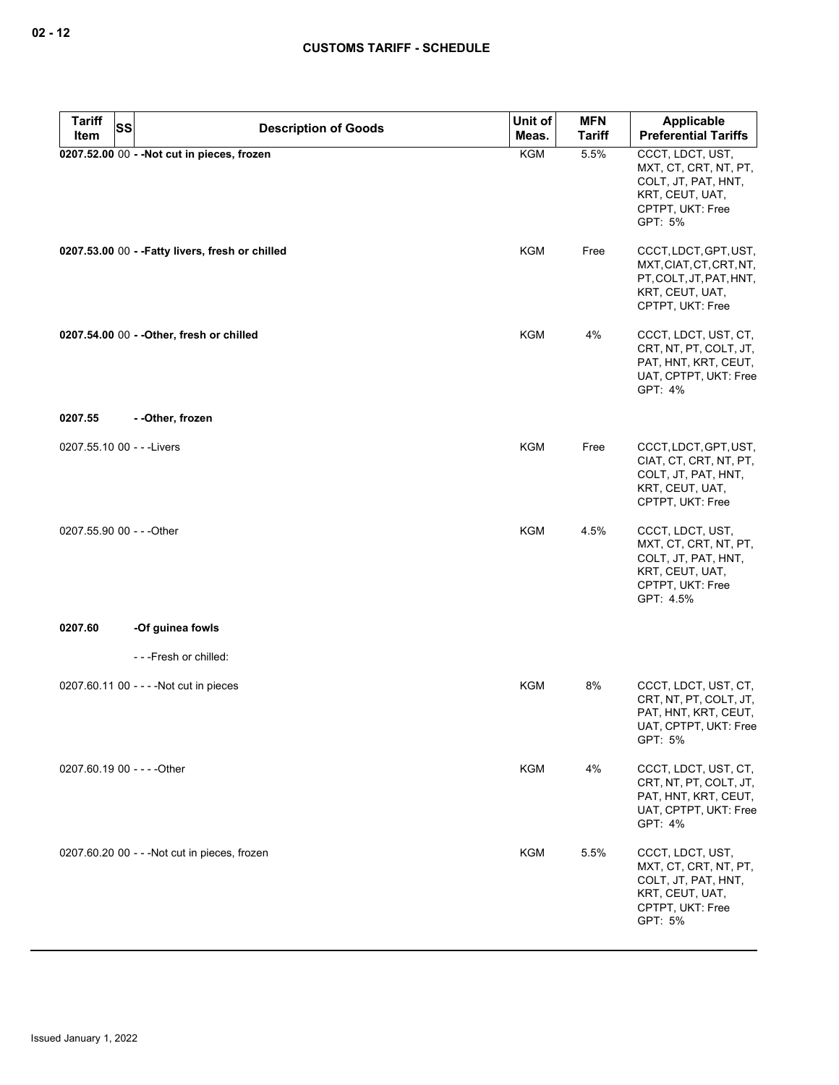| <b>Tariff</b><br><b>SS</b><br>Item | <b>Description of Goods</b>                      | Unit of<br>Meas. | <b>MFN</b><br><b>Tariff</b> | <b>Applicable</b><br><b>Preferential Tariffs</b>                                                                     |
|------------------------------------|--------------------------------------------------|------------------|-----------------------------|----------------------------------------------------------------------------------------------------------------------|
|                                    | 0207.52.00 00 - - Not cut in pieces, frozen      | <b>KGM</b>       | 5.5%                        | CCCT, LDCT, UST,<br>MXT, CT, CRT, NT, PT,<br>COLT, JT, PAT, HNT,<br>KRT, CEUT, UAT,<br>CPTPT, UKT: Free<br>GPT: 5%   |
|                                    | 0207.53.00 00 - - Fatty livers, fresh or chilled | <b>KGM</b>       | Free                        | CCCT, LDCT, GPT, UST,<br>MXT, CIAT, CT, CRT, NT,<br>PT, COLT, JT, PAT, HNT,<br>KRT, CEUT, UAT,<br>CPTPT, UKT: Free   |
|                                    | 0207.54.00 00 - - Other, fresh or chilled        | KGM              | 4%                          | CCCT, LDCT, UST, CT,<br>CRT, NT, PT, COLT, JT,<br>PAT, HNT, KRT, CEUT,<br>UAT, CPTPT, UKT: Free<br>GPT: 4%           |
| 0207.55                            | - -Other, frozen                                 |                  |                             |                                                                                                                      |
| 0207.55.10 00 - - - Livers         |                                                  | KGM              | Free                        | CCCT, LDCT, GPT, UST,<br>CIAT, CT, CRT, NT, PT,<br>COLT, JT, PAT, HNT,<br>KRT, CEUT, UAT,<br>CPTPT, UKT: Free        |
| 0207.55.90 00 - - - Other          |                                                  | KGM              | 4.5%                        | CCCT, LDCT, UST,<br>MXT, CT, CRT, NT, PT,<br>COLT, JT, PAT, HNT,<br>KRT, CEUT, UAT,<br>CPTPT, UKT: Free<br>GPT: 4.5% |
| 0207.60                            | -Of guinea fowls                                 |                  |                             |                                                                                                                      |
|                                    | ---Fresh or chilled:                             |                  |                             |                                                                                                                      |
|                                    | 0207.60.11 00 - - - - Not cut in pieces          | KGM              | 8%                          | CCCT, LDCT, UST, CT,<br>CRT, NT, PT, COLT, JT,<br>PAT, HNT, KRT, CEUT,<br>UAT, CPTPT, UKT: Free<br>GPT: 5%           |
| 0207.60.19 00 - - - - Other        |                                                  | <b>KGM</b>       | 4%                          | CCCT, LDCT, UST, CT,<br>CRT, NT, PT, COLT, JT,<br>PAT, HNT, KRT, CEUT,<br>UAT, CPTPT, UKT: Free<br>GPT: 4%           |
|                                    | 0207.60.20 00 - - - Not cut in pieces, frozen    | <b>KGM</b>       | 5.5%                        | CCCT, LDCT, UST,<br>MXT, CT, CRT, NT, PT,<br>COLT, JT, PAT, HNT,<br>KRT, CEUT, UAT,<br>CPTPT, UKT: Free<br>GPT: 5%   |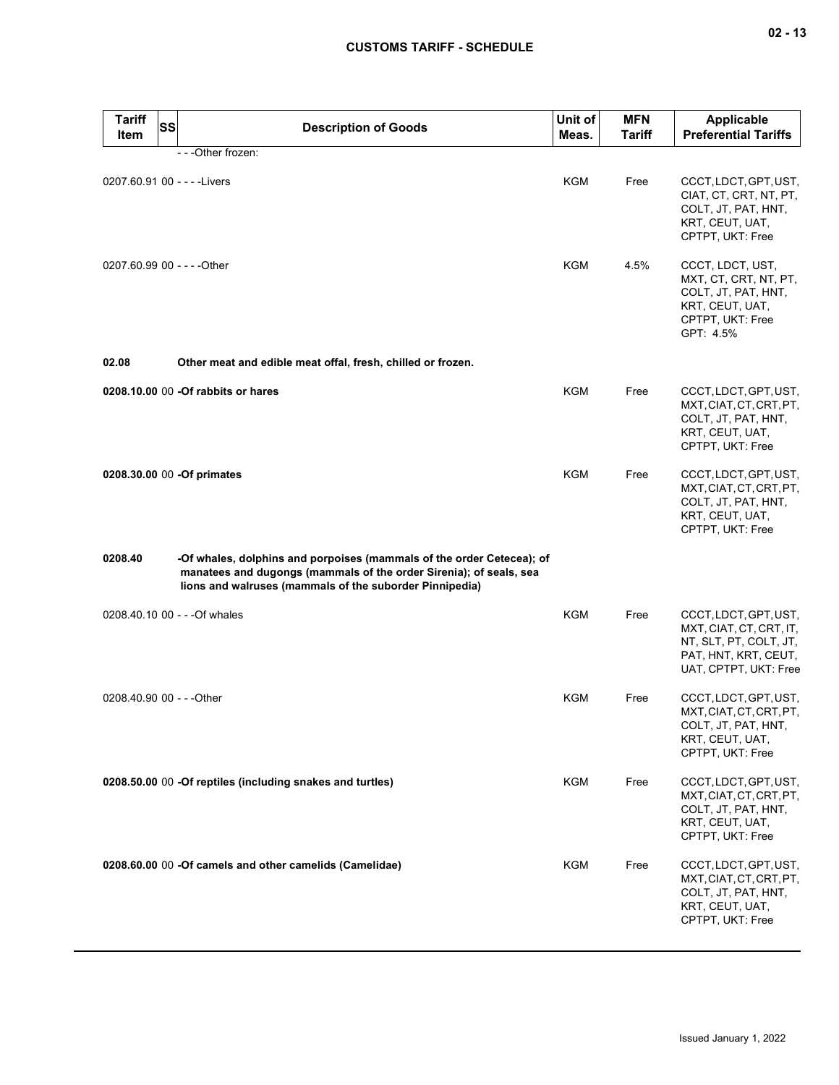| <b>Tariff</b><br><b>SS</b><br><b>Item</b> | <b>Description of Goods</b>                                                                                                                                                                            | Unit of<br>Meas. | <b>MFN</b><br>Tariff | <b>Applicable</b><br><b>Preferential Tariffs</b>                                                                            |
|-------------------------------------------|--------------------------------------------------------------------------------------------------------------------------------------------------------------------------------------------------------|------------------|----------------------|-----------------------------------------------------------------------------------------------------------------------------|
|                                           | - - - Other frozen:                                                                                                                                                                                    |                  |                      |                                                                                                                             |
| 0207.60.91 00 - - - - Livers              |                                                                                                                                                                                                        | KGM              | Free                 | CCCT, LDCT, GPT, UST,<br>CIAT, CT, CRT, NT, PT,<br>COLT, JT, PAT, HNT,<br>KRT, CEUT, UAT,<br>CPTPT, UKT: Free               |
| 0207.60.99 00 - - - - Other               |                                                                                                                                                                                                        | KGM              | 4.5%                 | CCCT, LDCT, UST,<br>MXT, CT, CRT, NT, PT,<br>COLT, JT, PAT, HNT,<br>KRT, CEUT, UAT,<br>CPTPT, UKT: Free<br>GPT: 4.5%        |
| 02.08                                     | Other meat and edible meat offal, fresh, chilled or frozen.                                                                                                                                            |                  |                      |                                                                                                                             |
|                                           | 0208.10.00 00 -Of rabbits or hares                                                                                                                                                                     | <b>KGM</b>       | Free                 | CCCT, LDCT, GPT, UST,<br>MXT.CIAT.CT.CRT.PT.<br>COLT, JT, PAT, HNT,<br>KRT, CEUT, UAT,<br>CPTPT, UKT: Free                  |
| 0208.30.00 00 -Of primates                |                                                                                                                                                                                                        | <b>KGM</b>       | Free                 | CCCT, LDCT, GPT, UST,<br>MXT, CIAT, CT, CRT, PT,<br>COLT, JT, PAT, HNT,<br>KRT, CEUT, UAT,<br>CPTPT, UKT: Free              |
| 0208.40                                   | -Of whales, dolphins and porpoises (mammals of the order Cetecea); of<br>manatees and dugongs (mammals of the order Sirenia); of seals, sea<br>lions and walruses (mammals of the suborder Pinnipedia) |                  |                      |                                                                                                                             |
| 0208.40.10 00 - - - Of whales             |                                                                                                                                                                                                        | <b>KGM</b>       | Free                 | CCCT, LDCT, GPT, UST,<br>MXT, CIAT, CT, CRT, IT,<br>NT, SLT, PT, COLT, JT,<br>PAT, HNT, KRT, CEUT,<br>UAT, CPTPT, UKT: Free |
| 0208.40.90 00 - - - Other                 |                                                                                                                                                                                                        | <b>KGM</b>       | Free                 | CCCT, LDCT, GPT, UST,<br>MXT, CIAT, CT, CRT, PT,<br>COLT, JT, PAT, HNT,<br>KRT, CEUT, UAT,<br>CPTPT, UKT: Free              |
|                                           | 0208.50.00 00 -Of reptiles (including snakes and turtles)                                                                                                                                              | <b>KGM</b>       | Free                 | CCCT, LDCT, GPT, UST,<br>MXT, CIAT, CT, CRT, PT,<br>COLT, JT, PAT, HNT,<br>KRT, CEUT, UAT,<br>CPTPT, UKT: Free              |
|                                           | 0208.60.00 00 -Of camels and other camelids (Camelidae)                                                                                                                                                | <b>KGM</b>       | Free                 | CCCT, LDCT, GPT, UST,<br>MXT, CIAT, CT, CRT, PT,<br>COLT, JT, PAT, HNT,<br>KRT, CEUT, UAT,<br>CPTPT, UKT: Free              |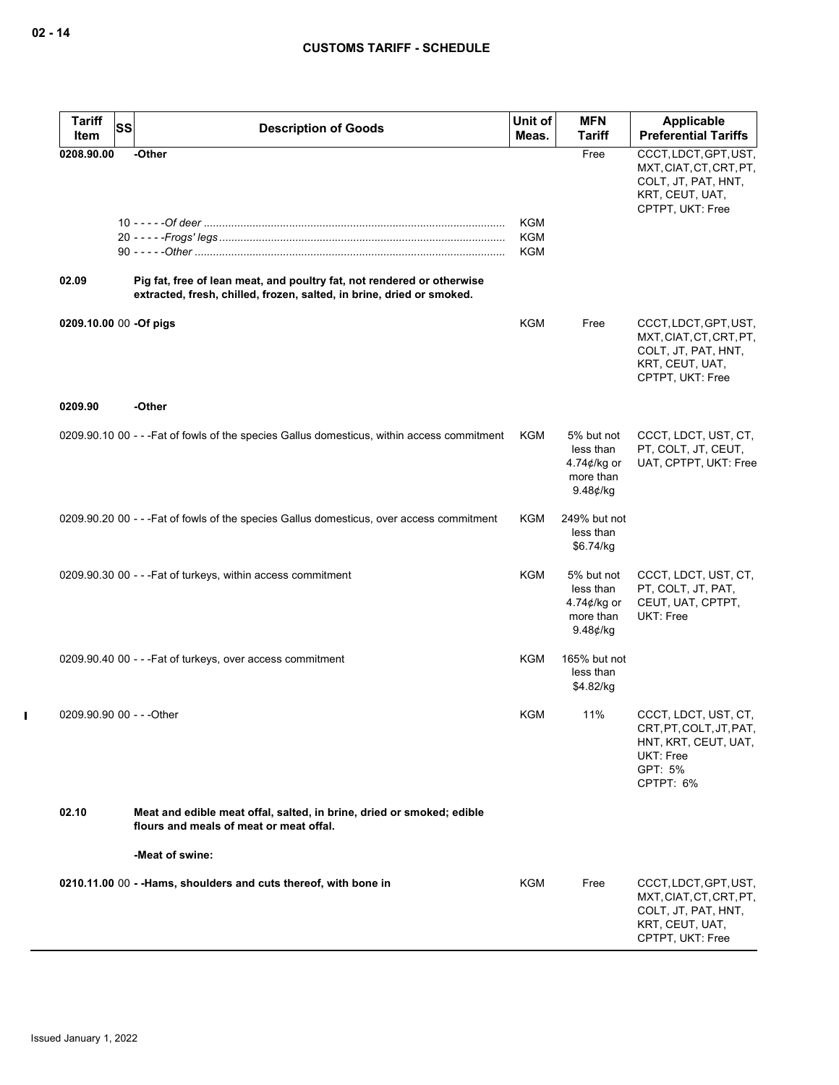| <b>Tariff</b><br><b>SS</b><br>Item | <b>Description of Goods</b>                                                                                                                     | Unit of<br>Meas.                | <b>MFN</b><br>Tariff                                                         | Applicable<br><b>Preferential Tariffs</b>                                                                      |
|------------------------------------|-------------------------------------------------------------------------------------------------------------------------------------------------|---------------------------------|------------------------------------------------------------------------------|----------------------------------------------------------------------------------------------------------------|
| 0208.90.00                         | -Other                                                                                                                                          |                                 | Free                                                                         | CCCT, LDCT, GPT, UST,<br>MXT, CIAT, CT, CRT, PT,<br>COLT, JT, PAT, HNT,<br>KRT, CEUT, UAT,<br>CPTPT, UKT: Free |
|                                    |                                                                                                                                                 | <b>KGM</b><br>KGM<br><b>KGM</b> |                                                                              |                                                                                                                |
| 02.09                              | Pig fat, free of lean meat, and poultry fat, not rendered or otherwise<br>extracted, fresh, chilled, frozen, salted, in brine, dried or smoked. |                                 |                                                                              |                                                                                                                |
| 0209.10.00 00 -Of pigs             |                                                                                                                                                 | <b>KGM</b>                      | Free                                                                         | CCCT, LDCT, GPT, UST,<br>MXT, CIAT, CT, CRT, PT,<br>COLT, JT, PAT, HNT,<br>KRT, CEUT, UAT,<br>CPTPT, UKT: Free |
| 0209.90                            | -Other                                                                                                                                          |                                 |                                                                              |                                                                                                                |
|                                    | 0209.90.10 00 - - - Fat of fowls of the species Gallus domesticus, within access commitment                                                     | KGM                             | 5% but not<br>less than<br>4.74 $\phi$ /kg or<br>more than<br>$9.48$ ¢/kg    | CCCT, LDCT, UST, CT,<br>PT, COLT, JT, CEUT,<br>UAT, CPTPT, UKT: Free                                           |
|                                    | 0209.90.20 00 - - - Fat of fowls of the species Gallus domesticus, over access commitment                                                       | KGM                             | 249% but not<br>less than<br>\$6.74/kg                                       |                                                                                                                |
|                                    | 0209.90.30 00 - - - Fat of turkeys, within access commitment                                                                                    | KGM                             | 5% but not<br>less than<br>4.74 $\not\in$ /kg or<br>more than<br>$9.48$ ¢/kg | CCCT, LDCT, UST, CT,<br>PT, COLT, JT, PAT,<br>CEUT, UAT, CPTPT,<br>UKT: Free                                   |
|                                    | 0209.90.40 00 - - - Fat of turkeys, over access commitment                                                                                      | KGM                             | 165% but not<br>less than<br>\$4.82/kg                                       |                                                                                                                |
| 0209.90.90 00 - - - Other          |                                                                                                                                                 | KGM                             | 11%                                                                          | CCCT, LDCT, UST, CT,<br>CRT, PT, COLT, JT, PAT,<br>HNT, KRT, CEUT, UAT,<br>UKT: Free<br>GPT: 5%<br>CPTPT: 6%   |
| 02.10                              | Meat and edible meat offal, salted, in brine, dried or smoked; edible<br>flours and meals of meat or meat offal.                                |                                 |                                                                              |                                                                                                                |
|                                    | -Meat of swine:                                                                                                                                 |                                 |                                                                              |                                                                                                                |
|                                    | 0210.11.00 00 - -Hams, shoulders and cuts thereof, with bone in                                                                                 | KGM                             | Free                                                                         | CCCT, LDCT, GPT, UST,<br>MXT, CIAT, CT, CRT, PT,<br>COLT, JT, PAT, HNT,<br>KRT, CEUT, UAT,<br>CPTPT, UKT: Free |

 $\mathbf{I}$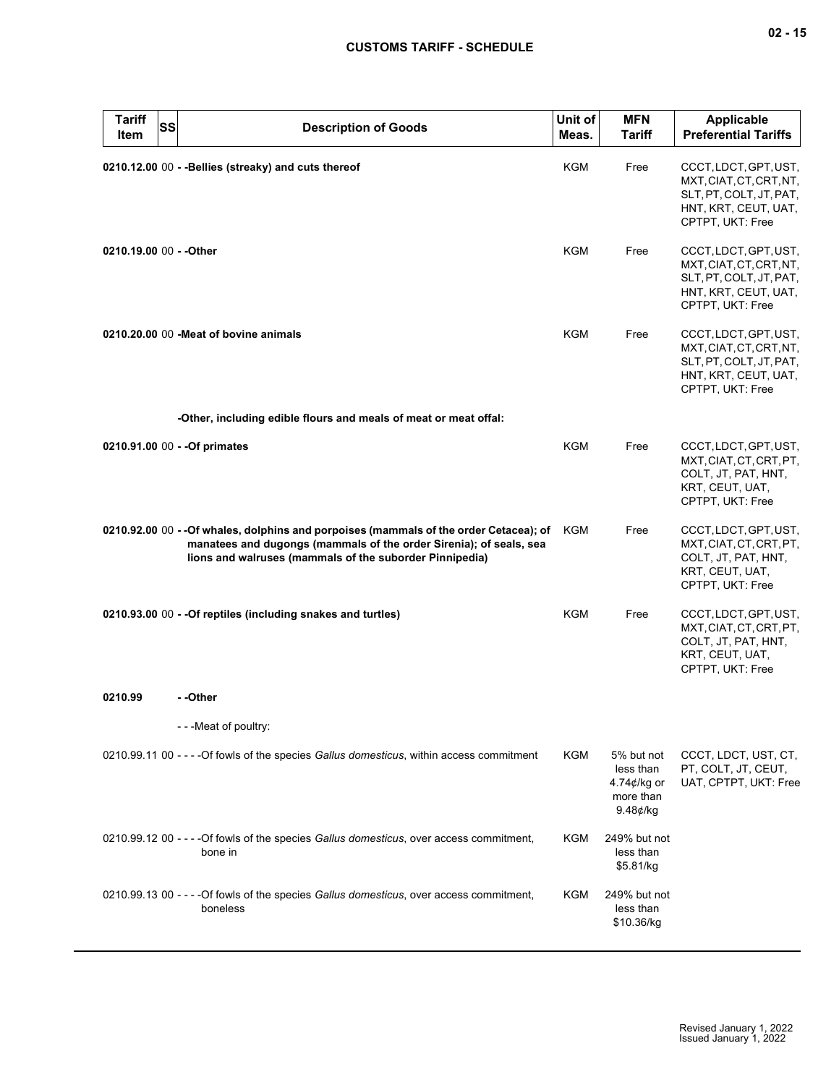| <b>Tariff</b><br>Item   | <b>SS</b> | <b>Description of Goods</b>                                                                                                                                                                                             | Unit of<br>Meas. | <b>MFN</b><br><b>Tariff</b>                                        | Applicable<br><b>Preferential Tariffs</b>                                                                               |
|-------------------------|-----------|-------------------------------------------------------------------------------------------------------------------------------------------------------------------------------------------------------------------------|------------------|--------------------------------------------------------------------|-------------------------------------------------------------------------------------------------------------------------|
|                         |           | 0210.12.00 00 - - Bellies (streaky) and cuts thereof                                                                                                                                                                    | KGM              | Free                                                               | CCCT, LDCT, GPT, UST,<br>MXT, CIAT, CT, CRT, NT,<br>SLT, PT, COLT, JT, PAT,<br>HNT, KRT, CEUT, UAT,<br>CPTPT, UKT: Free |
| 0210.19.00 00 - - Other |           |                                                                                                                                                                                                                         | <b>KGM</b>       | Free                                                               | CCCT, LDCT, GPT, UST,<br>MXT, CIAT, CT, CRT, NT,<br>SLT, PT, COLT, JT, PAT,<br>HNT, KRT, CEUT, UAT,<br>CPTPT, UKT: Free |
|                         |           | 0210.20.00 00 - Meat of bovine animals                                                                                                                                                                                  | <b>KGM</b>       | Free                                                               | CCCT, LDCT, GPT, UST,<br>MXT, CIAT, CT, CRT, NT,<br>SLT, PT, COLT, JT, PAT,<br>HNT, KRT, CEUT, UAT,<br>CPTPT, UKT: Free |
|                         |           | -Other, including edible flours and meals of meat or meat offal:                                                                                                                                                        |                  |                                                                    |                                                                                                                         |
|                         |           | 0210.91.00 00 - - Of primates                                                                                                                                                                                           | KGM              | Free                                                               | CCCT, LDCT, GPT, UST,<br>MXT, CIAT, CT, CRT, PT,<br>COLT, JT, PAT, HNT,<br>KRT, CEUT, UAT,<br>CPTPT, UKT: Free          |
|                         |           | 0210.92.00 00 - - Of whales, dolphins and porpoises (mammals of the order Cetacea); of<br>manatees and dugongs (mammals of the order Sirenia); of seals, sea<br>lions and walruses (mammals of the suborder Pinnipedia) | KGM              | Free                                                               | CCCT, LDCT, GPT, UST,<br>MXT, CIAT, CT, CRT, PT,<br>COLT, JT, PAT, HNT,<br>KRT, CEUT, UAT,<br>CPTPT, UKT: Free          |
|                         |           | 0210.93.00 00 - - Of reptiles (including snakes and turtles)                                                                                                                                                            | <b>KGM</b>       | Free                                                               | CCCT, LDCT, GPT, UST,<br>MXT, CIAT, CT, CRT, PT,<br>COLT, JT, PAT, HNT,<br>KRT, CEUT, UAT,<br>CPTPT, UKT: Free          |
| 0210.99                 |           | - -Other                                                                                                                                                                                                                |                  |                                                                    |                                                                                                                         |
|                         |           | - - - Meat of poultry:                                                                                                                                                                                                  |                  |                                                                    |                                                                                                                         |
|                         |           | 0210.99.11 00 - - - - Of fowls of the species Gallus domesticus, within access commitment                                                                                                                               | <b>KGM</b>       | 5% but not<br>less than<br>4.74¢/kg or<br>more than<br>$9.48$ ¢/kg | CCCT, LDCT, UST, CT,<br>PT, COLT, JT, CEUT,<br>UAT, CPTPT, UKT: Free                                                    |
|                         |           | 0210.99.12 00 - - - - Of fowls of the species Gallus domesticus, over access commitment,<br>bone in                                                                                                                     | KGM              | 249% but not<br>less than<br>\$5.81/kg                             |                                                                                                                         |
|                         |           | 0210.99.13 00 - - - - Of fowls of the species Gallus domesticus, over access commitment,<br>boneless                                                                                                                    | KGM              | 249% but not<br>less than<br>\$10.36/kg                            |                                                                                                                         |